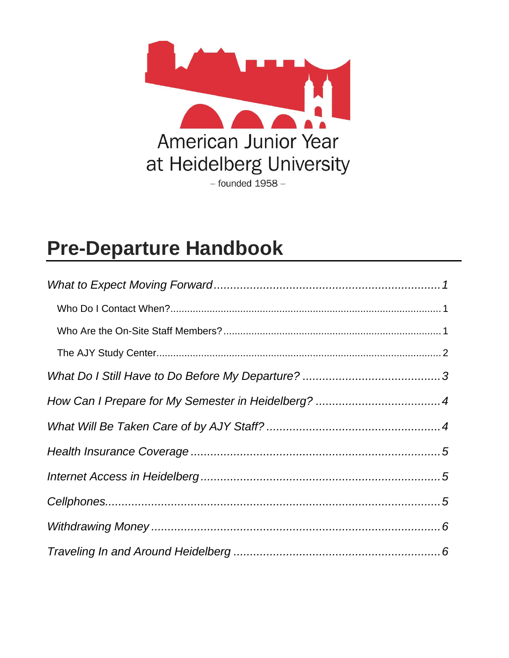

# **Pre-Departure Handbook**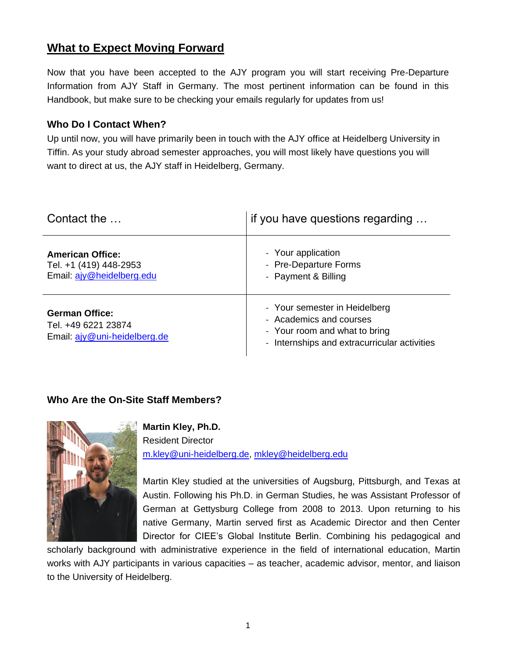## <span id="page-1-0"></span>**What to Expect Moving Forward**

Now that you have been accepted to the AJY program you will start receiving Pre-Departure Information from AJY Staff in Germany. The most pertinent information can be found in this Handbook, but make sure to be checking your emails regularly for updates from us!

#### <span id="page-1-1"></span>**Who Do I Contact When?**

Up until now, you will have primarily been in touch with the AJY office at Heidelberg University in Tiffin. As your study abroad semester approaches, you will most likely have questions you will want to direct at us, the AJY staff in Heidelberg, Germany.

| Contact the                                                                    | if you have questions regarding                                                                                                           |
|--------------------------------------------------------------------------------|-------------------------------------------------------------------------------------------------------------------------------------------|
| <b>American Office:</b><br>Tel. +1 (419) 448-2953<br>Email: ajy@heidelberg.edu | - Your application<br>- Pre-Departure Forms<br>- Payment & Billing                                                                        |
| <b>German Office:</b><br>Tel. +49 6221 23874<br>Email: ajv@uni-heidelberg.de   | - Your semester in Heidelberg<br>- Academics and courses<br>- Your room and what to bring<br>- Internships and extracurricular activities |

#### <span id="page-1-2"></span>**Who Are the On-Site Staff Members?**



**Martin Kley, Ph.D.** Resident Director [m.kley@uni-heidelberg.de,](mailto:m.kley@uni-heidelberg.de) [mkley@heidelberg.edu](mailto:mkley@heidelberg.edu)

Martin Kley studied at the universities of Augsburg, Pittsburgh, and Texas at Austin. Following his Ph.D. in German Studies, he was Assistant Professor of German at Gettysburg College from 2008 to 2013. Upon returning to his native Germany, Martin served first as Academic Director and then Center Director for CIEE's Global Institute Berlin. Combining his pedagogical and

scholarly background with administrative experience in the field of international education, Martin works with AJY participants in various capacities – as teacher, academic advisor, mentor, and liaison to the University of Heidelberg.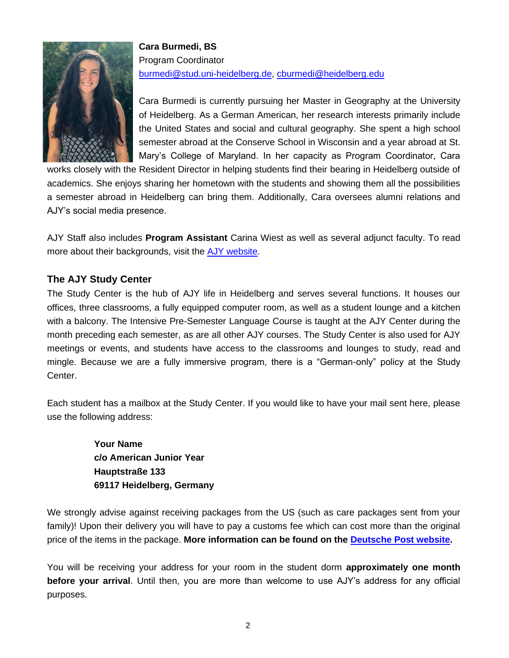

**Cara Burmedi, BS** Program Coordinator [burmedi@stud.uni-heidelberg.de,](mailto:burmedi@stud.uni-heidelberg.de) [cburmedi@heidelberg.edu](mailto:cburmedi@heidelberg.edu)

Cara Burmedi is currently pursuing her Master in Geography at the University of Heidelberg. As a German American, her research interests primarily include the United States and social and cultural geography. She spent a high school semester abroad at the Conserve School in Wisconsin and a year abroad at St. Mary's College of Maryland. In her capacity as Program Coordinator, Cara

works closely with the Resident Director in helping students find their bearing in Heidelberg outside of academics. She enjoys sharing her hometown with the students and showing them all the possibilities a semester abroad in Heidelberg can bring them. Additionally, Cara oversees alumni relations and AJY's social media presence.

AJY Staff also includes **Program Assistant** Carina Wiest as well as several adjunct faculty. To read more about their backgrounds, visit the [AJY website.](https://www.heidelberg.edu/american-junior-year/contact-us)

#### <span id="page-2-0"></span>**The AJY Study Center**

The Study Center is the hub of AJY life in Heidelberg and serves several functions. It houses our offices, three classrooms, a fully equipped computer room, as well as a student lounge and a kitchen with a balcony. The Intensive Pre-Semester Language Course is taught at the AJY Center during the month preceding each semester, as are all other AJY courses. The Study Center is also used for AJY meetings or events, and students have access to the classrooms and lounges to study, read and mingle. Because we are a fully immersive program, there is a "German-only" policy at the Study Center.

Each student has a mailbox at the Study Center. If you would like to have your mail sent here, please use the following address:

> **Your Name c/o American Junior Year Hauptstraße 133 69117 Heidelberg, Germany**

We strongly advise against receiving packages from the US (such as care packages sent from your family)! Upon their delivery you will have to pay a customs fee which can cost more than the original price of the items in the package. **More information can be found on the [Deutsche Post website.](http://www.deutschepost.de/)**

You will be receiving your address for your room in the student dorm **approximately one month before your arrival**. Until then, you are more than welcome to use AJY's address for any official purposes.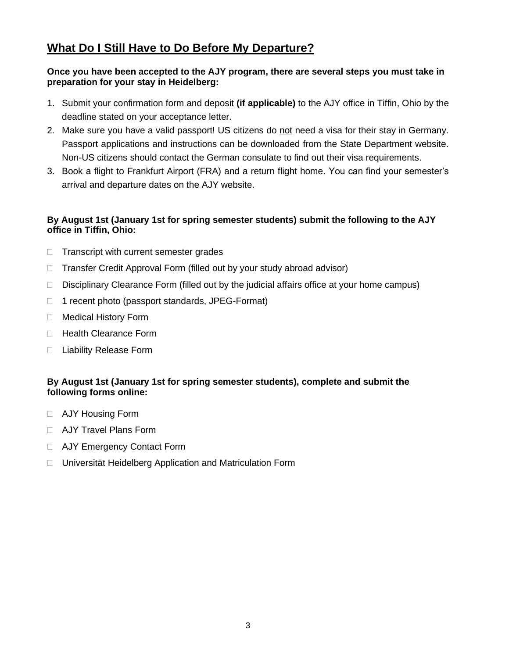## <span id="page-3-0"></span>**What Do I Still Have to Do Before My Departure?**

#### **Once you have been accepted to the AJY program, there are several steps you must take in preparation for your stay in Heidelberg:**

- 1. Submit your confirmation form and deposit **(if applicable)** to the AJY office in Tiffin, Ohio by the deadline stated on your acceptance letter.
- 2. Make sure you have a valid passport! US citizens do not need a visa for their stay in Germany. Passport applications and instructions can be downloaded from the State Department website. Non-US citizens should contact the German consulate to find out their visa requirements.
- 3. Book a flight to Frankfurt Airport (FRA) and a return flight home. You can find your semester's arrival and departure dates on the AJY website.

#### **By August 1st (January 1st for spring semester students) submit the following to the AJY office in Tiffin, Ohio:**

- $\Box$  Transcript with current semester grades
- □ Transfer Credit Approval Form (filled out by your study abroad advisor)
- $\Box$  Disciplinary Clearance Form (filled out by the judicial affairs office at your home campus)
- 1 recent photo (passport standards, JPEG-Format)
- □ Medical History Form
- □ Health Clearance Form
- □ Liability Release Form

#### **By August 1st (January 1st for spring semester students), complete and submit the following forms online:**

- AJY Housing Form
- **D** AJY Travel Plans Form
- □ AJY Emergency Contact Form
- Universität Heidelberg Application and Matriculation Form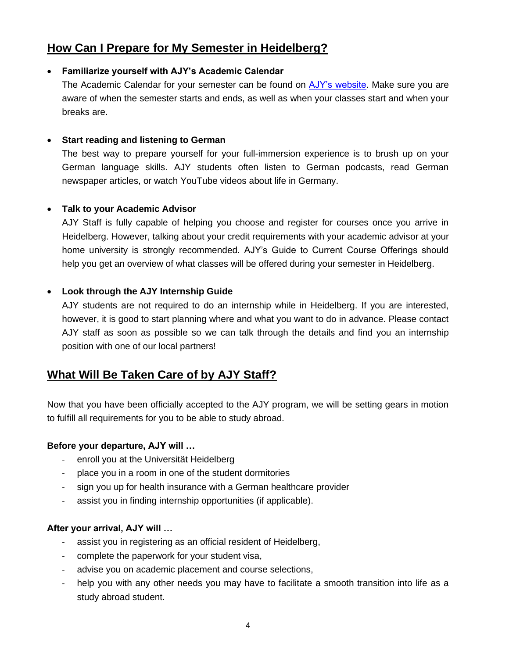## <span id="page-4-0"></span>**How Can I Prepare for My Semester in Heidelberg?**

#### • **Familiarize yourself with AJY's Academic Calendar**

The Academic Calendar for your semester can be found on [AJY's website.](https://www.heidelberg.edu/american-junior-year/ajy-academics) Make sure you are aware of when the semester starts and ends, as well as when your classes start and when your breaks are.

#### • **Start reading and listening to German**

The best way to prepare yourself for your full-immersion experience is to brush up on your German language skills. AJY students often listen to German podcasts, read German newspaper articles, or watch YouTube videos about life in Germany.

#### • **Talk to your Academic Advisor**

AJY Staff is fully capable of helping you choose and register for courses once you arrive in Heidelberg. However, talking about your credit requirements with your academic advisor at your home university is strongly recommended. AJY's Guide to Current Course Offerings should help you get an overview of what classes will be offered during your semester in Heidelberg.

#### • **Look through the AJY Internship Guide**

AJY students are not required to do an internship while in Heidelberg. If you are interested, however, it is good to start planning where and what you want to do in advance. Please contact AJY staff as soon as possible so we can talk through the details and find you an internship position with one of our local partners!

## <span id="page-4-1"></span>**What Will Be Taken Care of by AJY Staff?**

Now that you have been officially accepted to the AJY program, we will be setting gears in motion to fulfill all requirements for you to be able to study abroad.

#### **Before your departure, AJY will …**

- enroll you at the Universität Heidelberg
- place you in a room in one of the student dormitories
- sign you up for health insurance with a German healthcare provider
- assist you in finding internship opportunities (if applicable).

#### **After your arrival, AJY will …**

- assist you in registering as an official resident of Heidelberg,
- complete the paperwork for your student visa,
- advise you on academic placement and course selections,
- help you with any other needs you may have to facilitate a smooth transition into life as a study abroad student.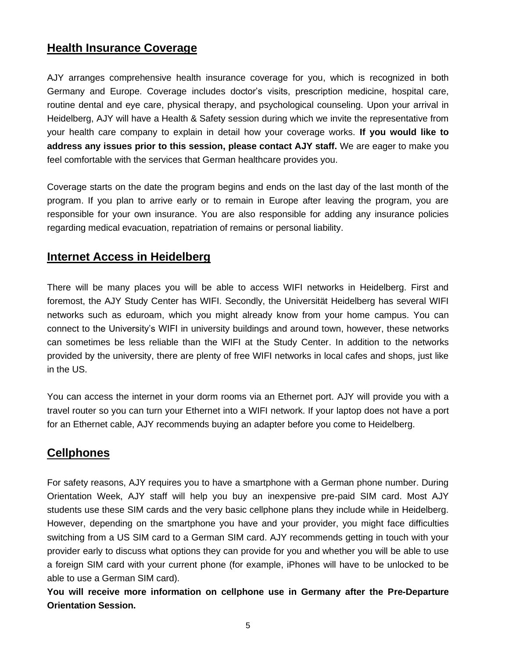## <span id="page-5-0"></span>**Health Insurance Coverage**

AJY arranges comprehensive health insurance coverage for you, which is recognized in both Germany and Europe. Coverage includes doctor's visits, prescription medicine, hospital care, routine dental and eye care, physical therapy, and psychological counseling. Upon your arrival in Heidelberg, AJY will have a Health & Safety session during which we invite the representative from your health care company to explain in detail how your coverage works. **If you would like to address any issues prior to this session, please contact AJY staff.** We are eager to make you feel comfortable with the services that German healthcare provides you.

Coverage starts on the date the program begins and ends on the last day of the last month of the program. If you plan to arrive early or to remain in Europe after leaving the program, you are responsible for your own insurance. You are also responsible for adding any insurance policies regarding medical evacuation, repatriation of remains or personal liability.

### <span id="page-5-1"></span>**Internet Access in Heidelberg**

There will be many places you will be able to access WIFI networks in Heidelberg. First and foremost, the AJY Study Center has WIFI. Secondly, the Universität Heidelberg has several WIFI networks such as eduroam, which you might already know from your home campus. You can connect to the University's WIFI in university buildings and around town, however, these networks can sometimes be less reliable than the WIFI at the Study Center. In addition to the networks provided by the university, there are plenty of free WIFI networks in local cafes and shops, just like in the US.

You can access the internet in your dorm rooms via an Ethernet port. AJY will provide you with a travel router so you can turn your Ethernet into a WIFI network. If your laptop does not have a port for an Ethernet cable, AJY recommends buying an adapter before you come to Heidelberg.

## <span id="page-5-2"></span>**Cellphones**

For safety reasons, AJY requires you to have a smartphone with a German phone number. During Orientation Week, AJY staff will help you buy an inexpensive pre-paid SIM card. Most AJY students use these SIM cards and the very basic cellphone plans they include while in Heidelberg. However, depending on the smartphone you have and your provider, you might face difficulties switching from a US SIM card to a German SIM card. AJY recommends getting in touch with your provider early to discuss what options they can provide for you and whether you will be able to use a foreign SIM card with your current phone (for example, iPhones will have to be unlocked to be able to use a German SIM card).

**You will receive more information on cellphone use in Germany after the Pre-Departure Orientation Session.**